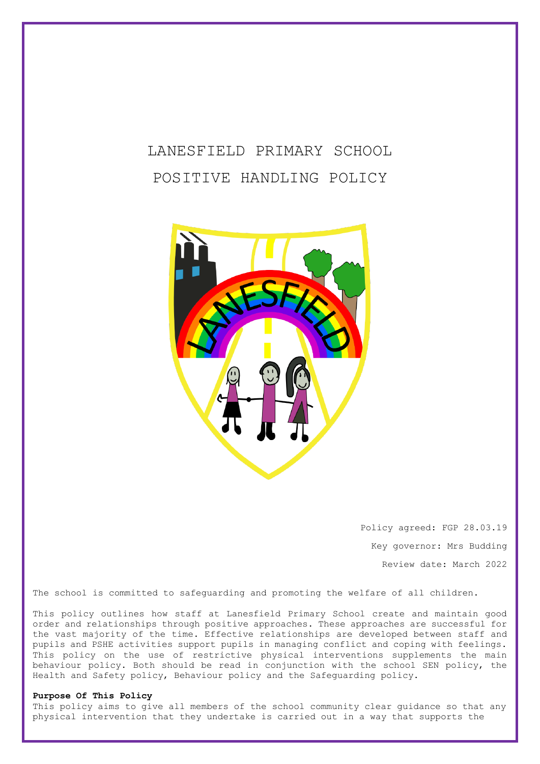# LANESFIELD PRIMARY SCHOOL POSITIVE HANDLING POLICY



Policy agreed: FGP 28.03.19 Key governor: Mrs Budding Review date: March 2022

The school is committed to safeguarding and promoting the welfare of all children.

This policy outlines how staff at Lanesfield Primary School create and maintain good order and relationships through positive approaches. These approaches are successful for the vast majority of the time. Effective relationships are developed between staff and pupils and PSHE activities support pupils in managing conflict and coping with feelings. This policy on the use of restrictive physical interventions supplements the main behaviour policy. Both should be read in conjunction with the school SEN policy, the Health and Safety policy, Behaviour policy and the Safeguarding policy.

#### **Purpose Of This Policy**

This policy aims to give all members of the school community clear guidance so that any physical intervention that they undertake is carried out in a way that supports the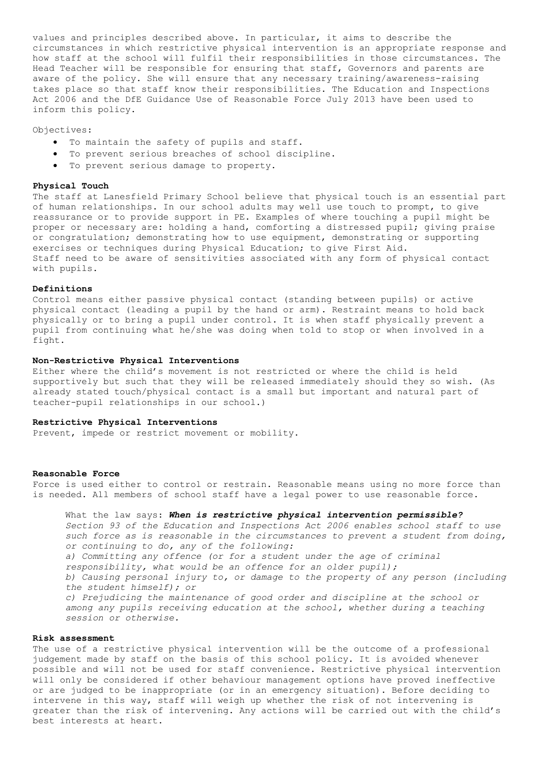values and principles described above. In particular, it aims to describe the circumstances in which restrictive physical intervention is an appropriate response and how staff at the school will fulfil their responsibilities in those circumstances. The Head Teacher will be responsible for ensuring that staff, Governors and parents are aware of the policy. She will ensure that any necessary training/awareness-raising takes place so that staff know their responsibilities. The Education and Inspections Act 2006 and the DfE Guidance Use of Reasonable Force July 2013 have been used to inform this policy.

Objectives:

- To maintain the safety of pupils and staff.
- To prevent serious breaches of school discipline.
- To prevent serious damage to property.

#### **Physical Touch**

The staff at Lanesfield Primary School believe that physical touch is an essential part of human relationships. In our school adults may well use touch to prompt, to give reassurance or to provide support in PE. Examples of where touching a pupil might be proper or necessary are: holding a hand, comforting a distressed pupil; giving praise or congratulation; demonstrating how to use equipment, demonstrating or supporting exercises or techniques during Physical Education; to give First Aid. Staff need to be aware of sensitivities associated with any form of physical contact with pupils.

#### **Definitions**

Control means either passive physical contact (standing between pupils) or active physical contact (leading a pupil by the hand or arm). Restraint means to hold back physically or to bring a pupil under control. It is when staff physically prevent a pupil from continuing what he/she was doing when told to stop or when involved in a fight.

#### **Non-Restrictive Physical Interventions**

Either where the child's movement is not restricted or where the child is held supportively but such that they will be released immediately should they so wish. (As already stated touch/physical contact is a small but important and natural part of teacher-pupil relationships in our school.)

#### **Restrictive Physical Interventions**

Prevent, impede or restrict movement or mobility.

#### **Reasonable Force**

Force is used either to control or restrain. Reasonable means using no more force than is needed. All members of school staff have a legal power to use reasonable force.

What the law says: *When is restrictive physical intervention permissible? Section 93 of the Education and Inspections Act 2006 enables school staff to use such force as is reasonable in the circumstances to prevent a student from doing, or continuing to do, any of the following: a) Committing any offence (or for a student under the age of criminal responsibility, what would be an offence for an older pupil); b) Causing personal injury to, or damage to the property of any person (including the student himself); or c) Prejudicing the maintenance of good order and discipline at the school or among any pupils receiving education at the school, whether during a teaching session or otherwise.* 

#### **Risk assessment**

The use of a restrictive physical intervention will be the outcome of a professional judgement made by staff on the basis of this school policy. It is avoided whenever possible and will not be used for staff convenience. Restrictive physical intervention will only be considered if other behaviour management options have proved ineffective or are judged to be inappropriate (or in an emergency situation). Before deciding to intervene in this way, staff will weigh up whether the risk of not intervening is greater than the risk of intervening. Any actions will be carried out with the child's best interests at heart.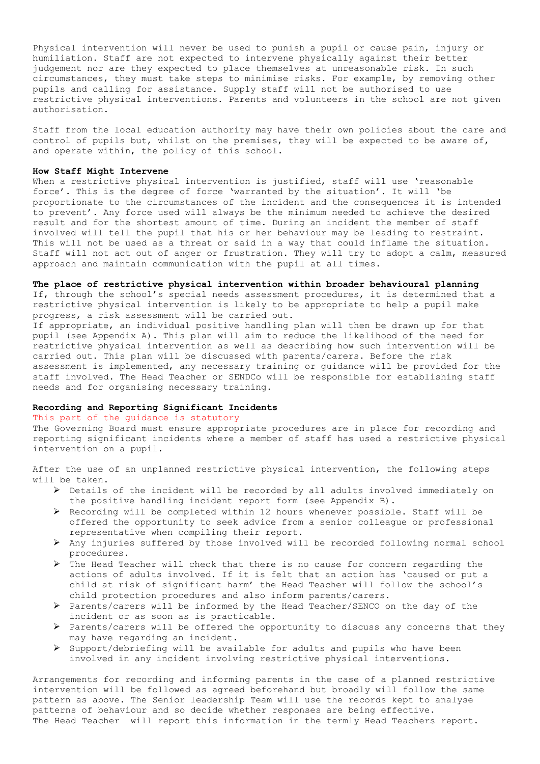Physical intervention will never be used to punish a pupil or cause pain, injury or humiliation. Staff are not expected to intervene physically against their better judgement nor are they expected to place themselves at unreasonable risk. In such circumstances, they must take steps to minimise risks. For example, by removing other pupils and calling for assistance. Supply staff will not be authorised to use restrictive physical interventions. Parents and volunteers in the school are not given authorisation.

Staff from the local education authority may have their own policies about the care and control of pupils but, whilst on the premises, they will be expected to be aware of, and operate within, the policy of this school.

#### **How Staff Might Intervene**

When a restrictive physical intervention is justified, staff will use 'reasonable force'. This is the degree of force 'warranted by the situation'. It will 'be proportionate to the circumstances of the incident and the consequences it is intended to prevent'. Any force used will always be the minimum needed to achieve the desired result and for the shortest amount of time. During an incident the member of staff involved will tell the pupil that his or her behaviour may be leading to restraint. This will not be used as a threat or said in a way that could inflame the situation. Staff will not act out of anger or frustration. They will try to adopt a calm, measured approach and maintain communication with the pupil at all times.

#### **The place of restrictive physical intervention within broader behavioural planning**

If, through the school's special needs assessment procedures, it is determined that a restrictive physical intervention is likely to be appropriate to help a pupil make progress, a risk assessment will be carried out.

If appropriate, an individual positive handling plan will then be drawn up for that pupil (see Appendix A). This plan will aim to reduce the likelihood of the need for restrictive physical intervention as well as describing how such intervention will be carried out. This plan will be discussed with parents/carers. Before the risk assessment is implemented, any necessary training or guidance will be provided for the staff involved. The Head Teacher or SENDCo will be responsible for establishing staff needs and for organising necessary training.

#### **Recording and Reporting Significant Incidents**

## This part of the guidance is statutory

The Governing Board must ensure appropriate procedures are in place for recording and reporting significant incidents where a member of staff has used a restrictive physical intervention on a pupil.

After the use of an unplanned restrictive physical intervention, the following steps will be taken.

- Details of the incident will be recorded by all adults involved immediately on the positive handling incident report form (see Appendix B).
- $\triangleright$  Recording will be completed within 12 hours whenever possible. Staff will be offered the opportunity to seek advice from a senior colleague or professional representative when compiling their report.
- Any injuries suffered by those involved will be recorded following normal school procedures.
- $\triangleright$  The Head Teacher will check that there is no cause for concern regarding the actions of adults involved. If it is felt that an action has 'caused or put a child at risk of significant harm' the Head Teacher will follow the school's child protection procedures and also inform parents/carers.
- Parents/carers will be informed by the Head Teacher/SENCO on the day of the incident or as soon as is practicable.
- Parents/carers will be offered the opportunity to discuss any concerns that they may have regarding an incident.
- $\triangleright$  Support/debriefing will be available for adults and pupils who have been involved in any incident involving restrictive physical interventions.

Arrangements for recording and informing parents in the case of a planned restrictive intervention will be followed as agreed beforehand but broadly will follow the same pattern as above. The Senior leadership Team will use the records kept to analyse patterns of behaviour and so decide whether responses are being effective. The Head Teacher will report this information in the termly Head Teachers report.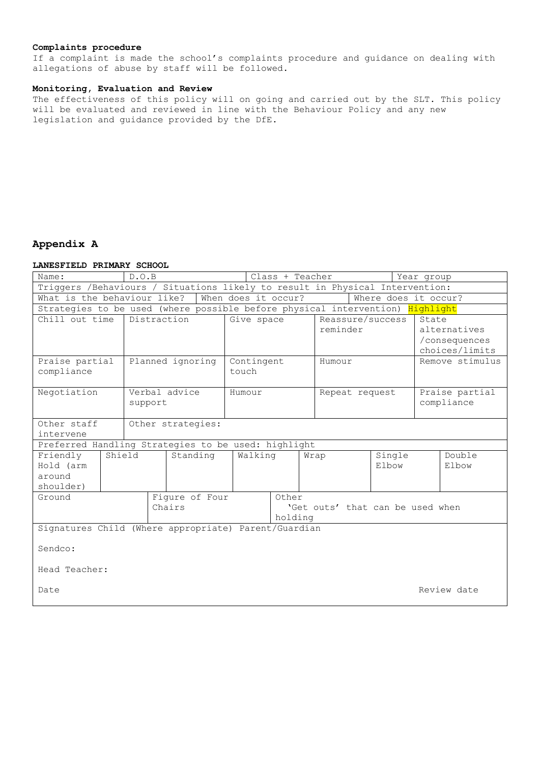### **Complaints procedure**

If a complaint is made the school's complaints procedure and guidance on dealing with allegations of abuse by staff will be followed.

#### **Monitoring, Evaluation and Review**

The effectiveness of this policy will on going and carried out by the SLT. This policy will be evaluated and reviewed in line with the Behaviour Policy and any new legislation and guidance provided by the DfE.

## **Appendix A**

## **LANESFIELD PRIMARY SCHOOL**

| Name:                                                                         | D.O.B       |                  |          |            | Class + Teacher |                |                  |                                  |                | Year group      |              |                 |                 |
|-------------------------------------------------------------------------------|-------------|------------------|----------|------------|-----------------|----------------|------------------|----------------------------------|----------------|-----------------|--------------|-----------------|-----------------|
| Triggers /Behaviours / Situations likely to result in Physical Intervention:  |             |                  |          |            |                 |                |                  |                                  |                |                 |              |                 |                 |
| What is the behaviour like?<br>When does it occur?<br>Where does it occur?    |             |                  |          |            |                 |                |                  |                                  |                |                 |              |                 |                 |
| Strategies to be used (where possible before physical intervention) Highlight |             |                  |          |            |                 |                |                  |                                  |                |                 |              |                 |                 |
| Chill out time                                                                | Distraction |                  |          | Give space |                 |                | Reassure/success |                                  |                |                 | State        |                 |                 |
|                                                                               |             |                  |          |            |                 |                | reminder         |                                  |                |                 | alternatives |                 |                 |
|                                                                               |             |                  |          |            |                 |                |                  |                                  |                |                 |              |                 | /consequences   |
|                                                                               |             |                  |          |            |                 |                |                  |                                  |                |                 |              |                 | choices/limits  |
| Praise partial                                                                |             | Planned ignoring |          |            | Contingent      |                |                  | Humour                           |                |                 |              | Remove stimulus |                 |
| compliance                                                                    |             |                  |          |            | touch           |                |                  |                                  |                |                 |              |                 |                 |
|                                                                               |             |                  |          |            |                 |                |                  |                                  |                |                 |              |                 |                 |
| Negotiation                                                                   |             | Verbal advice    | Humour   |            |                 | Repeat request |                  |                                  | Praise partial |                 |              |                 |                 |
|                                                                               |             | support          |          |            |                 |                |                  |                                  |                |                 |              | compliance      |                 |
|                                                                               |             |                  |          |            |                 |                |                  |                                  |                |                 |              |                 |                 |
| Other staff<br>Other strategies:                                              |             |                  |          |            |                 |                |                  |                                  |                |                 |              |                 |                 |
| intervene                                                                     |             |                  |          |            |                 |                |                  |                                  |                |                 |              |                 |                 |
| Preferred Handling Strategies to be used: highlight<br>Shield                 |             |                  |          |            |                 |                |                  |                                  |                |                 |              |                 |                 |
| Friendly                                                                      |             |                  | Standing |            | Walking         |                |                  | Wrap                             |                | Single<br>Elbow |              |                 | Double<br>Elbow |
| Hold (arm                                                                     |             |                  |          |            |                 |                |                  |                                  |                |                 |              |                 |                 |
| around<br>shoulder)                                                           |             |                  |          |            |                 |                |                  |                                  |                |                 |              |                 |                 |
| Ground                                                                        |             | Fiqure of Four   |          |            |                 | Other          |                  |                                  |                |                 |              |                 |                 |
|                                                                               |             | Chairs           |          |            |                 |                |                  | 'Get outs' that can be used when |                |                 |              |                 |                 |
|                                                                               | holding     |                  |          |            |                 |                |                  |                                  |                |                 |              |                 |                 |
| Signatures Child (Where appropriate) Parent/Guardian                          |             |                  |          |            |                 |                |                  |                                  |                |                 |              |                 |                 |
|                                                                               |             |                  |          |            |                 |                |                  |                                  |                |                 |              |                 |                 |
| Sendco:                                                                       |             |                  |          |            |                 |                |                  |                                  |                |                 |              |                 |                 |
|                                                                               |             |                  |          |            |                 |                |                  |                                  |                |                 |              |                 |                 |
| Head Teacher:                                                                 |             |                  |          |            |                 |                |                  |                                  |                |                 |              |                 |                 |
|                                                                               |             |                  |          |            |                 |                |                  |                                  |                |                 |              |                 |                 |
| Review date<br>Date                                                           |             |                  |          |            |                 |                |                  |                                  |                |                 |              |                 |                 |
|                                                                               |             |                  |          |            |                 |                |                  |                                  |                |                 |              |                 |                 |